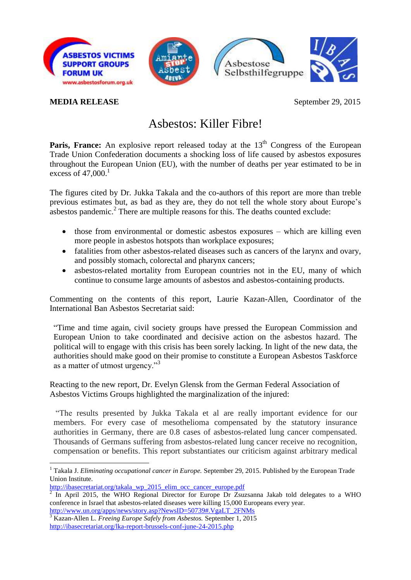

## **MEDIA RELEASE** September 29, 2015

## Asbestos: Killer Fibre!

**Paris, France:** An explosive report released today at the 13<sup>th</sup> Congress of the European Trade Union Confederation documents a shocking loss of life caused by asbestos exposures throughout the European Union (EU), with the number of deaths per year estimated to be in excess of  $47,000$ <sup>1</sup>

The figures cited by Dr. Jukka Takala and the co-authors of this report are more than treble previous estimates but, as bad as they are, they do not tell the whole story about Europe's asbestos pandemic.<sup>2</sup> There are multiple reasons for this. The deaths counted exclude:

- those from environmental or domestic asbestos exposures which are killing even more people in asbestos hotspots than workplace exposures;
- fatalities from other asbestos-related diseases such as cancers of the larynx and ovary, and possibly stomach, colorectal and pharynx cancers;
- asbestos-related mortality from European countries not in the EU, many of which continue to consume large amounts of asbestos and asbestos-containing products.

Commenting on the contents of this report, Laurie Kazan-Allen, Coordinator of the International Ban Asbestos Secretariat said:

"Time and time again, civil society groups have pressed the European Commission and European Union to take coordinated and decisive action on the asbestos hazard. The political will to engage with this crisis has been sorely lacking. In light of the new data, the authorities should make good on their promise to constitute a European Asbestos Taskforce as a matter of utmost urgency."<sup>3</sup>

Reacting to the new report, Dr. Evelyn Glensk from the German Federal Association of Asbestos Victims Groups highlighted the marginalization of the injured:

"The results presented by Jukka Takala et al are really important evidence for our members. For every case of mesothelioma compensated by the statutory insurance authorities in Germany, there are 0.8 cases of asbestos-related lung cancer compensated. Thousands of Germans suffering from asbestos-related lung cancer receive no recognition, compensation or benefits. This report substantiates our criticism against arbitrary medical

1

<sup>&</sup>lt;sup>1</sup> Takala J. *Eliminating occupational cancer in Europe*. September 29, 2015. Published by the European Trade Union Institute.

[http://ibasecretariat.org/takala\\_wp\\_2015\\_elim\\_occ\\_cancer\\_europe.pdf](http://ibasecretariat.org/takala_wp_2015_elim_occ_cancer_europe.pdf)

 $\overline{2}$ In April 2015, the WHO Regional Director for Europe Dr Zsuzsanna Jakab told delegates to a WHO conference in Israel that asbestos-related diseases were killing 15,000 Europeans every year. [http://www.un.org/apps/news/story.asp?NewsID=50739#.VgaLT\\_2FNMs](http://www.un.org/apps/news/story.asp?NewsID=50739%23.VgaLT_2FNMs)

<sup>3</sup> Kazan-Allen L. *Freeing Europe Safely from Asbestos.* September 1, 2015 <http://ibasecretariat.org/lka-report-brussels-conf-june-24-2015.php>